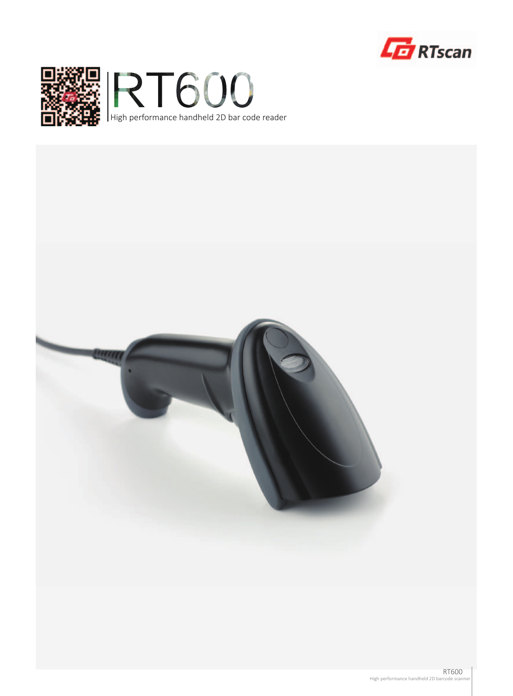



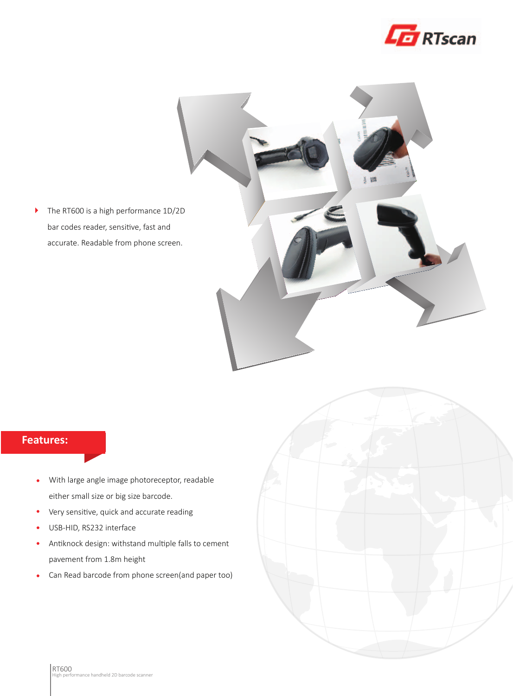



## **Features:**

- With large angle image photoreceptor, readable  $\bullet$ either small size or big size barcode.
- $\bullet$ Very sensitive, quick and accurate reading
- USB-HID, RS232 interface  $\bullet$
- Antiknock design: withstand multiple falls to cement pavement from 1.8m height
- Can Read barcode from phone screen(and paper too)  $\bullet$